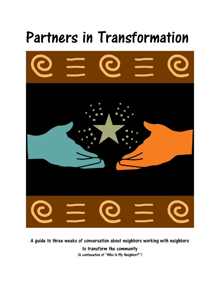

A guide to three weeks of conversation about neighbors working with neighbors to transform the community (A continuation of "Who Is My Neighbor?")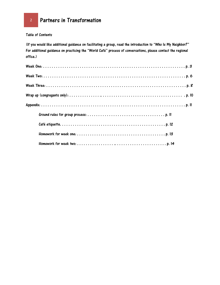Table of Contents

(If you would like additional guidance on facilitating a group, read the introduction to "Who Is My Neighbor?" For additional guidance on practicing the "World Café" process of conversations, please contact the regional office.)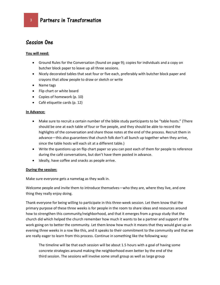# Session One

# **You will need:**

- Ground Rules for the Conversation (found on page 9); copies for individuals and a copy on butcher block paper to leave up all three sessions.
- Nicely decorated tables that seat four or five each, preferably with butcher block paper and crayons that allow people to draw or sketch or write
- Name tags
- Flip chart or white board
- Copies of homework (p. 10)
- Café etiquette cards (p. 12)

#### **In Advance:**

- Make sure to recruit a certain number of the bible study participants to be "table hosts." (There should be one at each table of four or five people, and they should be able to record the highlights of the conversation and share those notes at the end of the process. Recruit them in advance—this also guarantees that church folk don't all bunch up together when they arrive, since the table hosts will each sit at a different table.)
- Write the questions up on flip chart paper so you can post each of them for people to reference during the café conversations, but don't have them posted in advance.
- Ideally, have coffee and snacks as people arrive.

# **During the session:**

Make sure everyone gets a nametag as they walk in.

Welcome people and invite them to introduce themselves—who they are, where they live, and one thing they really enjoy doing.

Thank everyone for being willing to participate in this three-week session. Let them know that the primary purpose of these three weeks is for people in the room to share ideas and resources around how to strengthen this community/neighborhood, and that it emerges from a group study that the church did which helped the church remember how much it wants to be a partner and support of the work going on to better the community. Let them know how much it means that they would give up an evening three weeks in a row like this, and it speaks to their commitment to the community and that we are really eager to learn from this process. Continue in something like the following way:

The timeline will be that each session will be about 1.5 hours with a goal of having some concrete strategies around making the neighborhood even better by the end of the third session. The sessions will involve some small group as well as large group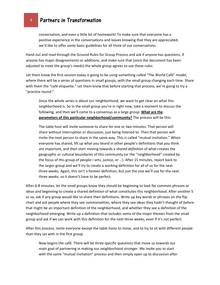<sup>4</sup> Partners in Transformation

conversation, and even a little bit of homework! To make sure that everyone has a positive experience in the conversations and leaves knowing that they are appreciated, we'd like to offer some basic guidelines for all three of our conversations.

Hand out and read through the Ground Rules for Group Process and ask if anyone has questions, if anyone has major disagreements or additions, and make sure that (once the document has been adjusted to meet the group's needs) the whole group agrees to use these rules.

Let them know the first session today is going to be using something called "The World Café" model, where there will be a series of questions in small groups, with the small group changing each time. Share with them the "café etiquette." Let them know that before starting that process, we're going to try a "practice round:"

Since the whole series is about our neighborhood, we want to get clear on what this neighborhood is. So in the small group you're in right now, take a moment to discuss the following, and then we'll come to a consensus as a large group: **What are the parameters of this particular neighborhood/community?** The process will be this:

The table host will invite someone to share for one or two minutes. That person will share without interruption or discussion, just being listened to. Then that person will invite the next person to share in the same way. This is called "mutual invitation." When everyone has shared, lift up what you heard in other people's definitions that you think are important, and then start moving towards a *shared definition* of what creates the geographic or cultural boundaries of this community (or the "neighborhood" created by the focus of this group of people—arts, justice, or …). After 15 minutes, report back to the larger group and we'll try to create a working definition for all of us for the next three weeks. Again, this isn't a forever definition, but just the one we'll use for the next three weeks, so it doesn't have to be perfect.

After 6-8 minutes, let the small groups know they should be beginning to look for common phrases or ideas and beginning to create a shared definition of what constitutes this neighborhood. After another 5 or so, ask if any group would like to share their definitions. Write up key words or phrases on the flip chart and ask people where they see commonalities, where they see ideas they hadn't thought of before that might be an important definition of the neighborhood, and whether they see a definition of the neighborhood emerging. Write up a definition that includes some of the major themes from the small group and ask if we can work with this definition for the next three weeks, even if it's not perfect.

After this process, invite everyone except the table hosts to move, and to try to sit with different people than they sat with in the first group.

Now begins the café: There will be three specific questions that move us towards our main goal of partnering in making our neighborhood stronger. We invite you to start with the same "mutual invitation" process and then simply open up to discussion after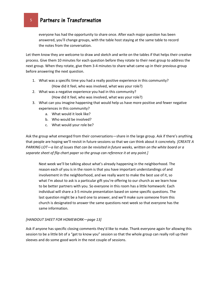everyone has had the opportunity to share once. After each major question has been answered, you'll change groups, with the table host staying at the same table to record the notes from the conversation.

Let them know they are welcome to draw and sketch and write on the tables if that helps their creative process. Give them 10 minutes for each question before they rotate to their next group to address the next group. When they rotate, give them 3-4 minutes to share what came up in their previous group before answering the next question.

- 1. What was a specific time you had a really positive experience in this community? (How did it feel, who was involved, what was your role?)
- 2. What was a negative experience you had in this community? (How did it feel, who was involved, what was your role?)
- 3. What can you imagine happening that would help us have more positive and fewer negative experiences in this community?
	- a. What would it look like?
	- b. Who would be involved?
	- c. What would your role be?

Ask the group what emerged from their conversations—share in the large group. Ask if there's anything that people are hoping we'll revisit in future sessions so that we can think about it concretely. *[CREATE A PARKING LOT—a list of issues that can be revisited in future weeks, written on the white board or a separate sheet of flip chart paper so the group can reference it at any point.]*

Next week we'll be talking about what's already happening in the neighborhood. The reason each of you is in the room is that you have important understandings of and involvement in the neighborhood, and we really want to make the best use of it, so what I'm about to ask is a particular gift you're offering to our church as we learn how to be better partners with you. So everyone in this room has a little homework: Each individual will share a 3-5 minute presentation based on some specific questions. The last question might be a hard one to answer, and we'll make sure someone from this church is designated to answer the same questions next week so that everyone has the same information.

# *[HANDOUT SHEET FOR HOMEWORK—page 13]*

Ask if anyone has specific closing comments they'd like to make. Thank everyone again for allowing this session to be a little bit of a "get to know you" session so that the whole group can really roll up their sleeves and do some good work in the next couple of sessions.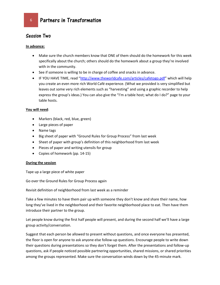# Session Two

#### **In advance:**

- Make sure the church members know that ONE of them should do the homework for this week specifically about the church; others should do the homework about a group they're involved with in the community.
- See if someone is willing to be in charge of coffee and snacks in advance.
- IF YOU HAVE TIME, read "<http://www.theworldcafe.com/articles/cafetogo.pdf>" which will help you create an even more rich World Café experience. (What we provided is very simplified but leaves out some very rich elements such as "harvesting" and using a graphic recorder to help express the group's ideas.) You can also give the "I'm a table host; what do I do?" page to your table hosts.

#### **You will need**:

- Markers (black, red, blue, green)
- Large pieces of paper
- Name tags
- Big sheet of paper with "Ground Rules for Group Process" from last week
- Sheet of paper with group's definition of this neighborhood from last week
- Pieces of paper and writing utensils for group
- Copies of homework (pp. 14-15)

#### **During the session**

Tape up a large piece of white paper

Go over the Ground Rules for Group Process again

Revisit definition of neighborhood from last week as a reminder

Take a few minutes to have them pair up with someone they don't know and share their name, how long they've lived in the neighborhood and their favorite neighborhood place to eat. Then have them introduce their partner to the group.

Let people know during the first half people will present, and during the second half we'll have a large group activity/conversation.

Suggest that each person be allowed to present without questions, and once everyone has presented, the floor is open for anyone to ask anyone else follow-up questions. Encourage people to write down their questions during presentations so they don't forget them. After the presentations and follow-up questions, ask if people noticed possible partnering opportunities, shared missions, or shared priorities among the groups represented. Make sure the conversation winds down by the 45-minute mark.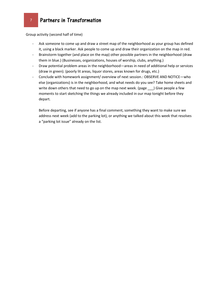Group activity (second half of time)

- Ask someone to come up and draw a street map of the neighborhood as your group has defined it, using a black marker. Ask people to come up and draw their organization on the map in red.
- Brainstorm together (and place on the map) other possible partners in the neighborhood (draw them in blue.) (Businesses, organizations, houses of worship, clubs, anything.)
- Draw potential problem areas in the neighborhood—areas in need of additional help or services (draw in green). (poorly lit areas, liquor stores, areas known for drugs, etc.)
- Conclude with homework assignment/ overview of next session.: OBSERVE AND NOTICE-who else (organizations) is in the neighborhood, and what needs do you see? Take home sheets and write down others that need to go up on the map next week. (page \_\_\_) Give people a few moments to start sketching the things we already included in our map tonight before they depart.

Before departing, see if anyone has a final comment, something they want to make sure we address next week (add to the parking lot), or anything we talked about this week that resolves a "parking lot issue" already on the list.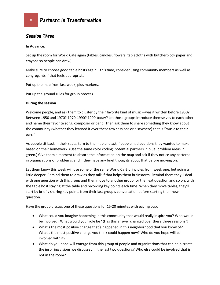# Session Three

#### **In Advance:**

Set up the room for World Café again (tables, candles, flowers, tablecloths with butcherblock paper and crayons so people can draw)

Make sure to choose good table hosts again—this time, consider using community members as well as congregants if that feels appropriate.

Put up the map from last week, plus markers.

Put up the ground rules for group process.

#### **During the session**

Welcome people, and ask them to cluster by their favorite kind of music—was it written before 1950? Between 1950 and 1970? 1970-1990? 1990-today? Let those groups introduce themselves to each other and name their favorite song, composer or band. Then ask them to share something they know about the community (whether they learned it over these few sessions or elsewhere) that is "music to their ears."

As people sit back in their seats, turn to the map and ask if people had additions they wanted to make based on their homework. (Use the same color coding: potential partners in blue, problem areas in green.) Give them a moment to absorb the information on the map and ask if they notice any patterns in organizations or problems, and if they have any brief thoughts about that before moving on.

Let them know this week will use some of the same World Café principles from week one, but going a little deeper. Remind them to draw as they talk if that helps them brainstorm. Remind them they'll deal with one question with this group and then move to another group for the next question and so on, with the table host staying at the table and recording key points each time. When they move tables, they'll start by briefly sharing key points from their last group's conversation before starting their new question.

Have the group discuss one of these questions for 15-20 minutes with each group:

- What could you imagine happening in this community that would really inspire you? Who would be involved? What would your role be? (Has this answer changed over these three sessions?)
- What's the most positive change that's happened in this neighborhood that you know of? What's the most positive change you think could happen now? Who do you hope will be involved with it?
- What do you hope will emerge from this group of people and organizations that can help create the inspiring visions we discussed in the last two questions? Who else could be involved that is not in the room?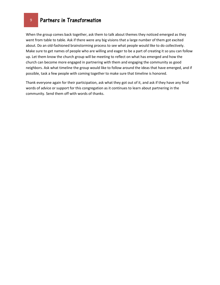<sup>9</sup> Partners in Transformation

When the group comes back together, ask them to talk about themes they noticed emerged as they went from table to table. Ask if there were any big visions that a large number of them got excited about. Do an old-fashioned brainstorming process to see what people would like to do collectively. Make sure to get names of people who are willing and eager to be a part of creating it so you can follow up. Let them know the church group will be meeting to reflect on what has emerged and how the church can become more engaged in partnering with them and engaging the community as good neighbors. Ask what timeline the group would like to follow around the ideas that have emerged, and if possible, task a few people with coming together to make sure that timeline is honored.

Thank everyone again for their participation, ask what they got out of it, and ask if they have any final words of advice or support for this congregation as it continues to learn about partnering in the community. Send them off with words of thanks.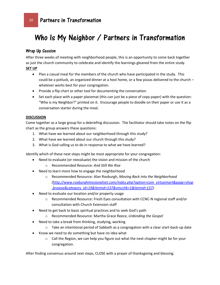# Who Is My Neighbor / Partners in Transformation

# Wrap Up Session

After three weeks of meeting with neighborhood people, this is an opportunity to come back together as just the church community to celebrate and identify the learnings gleaned from the entire study. **SET UP**

- Plan a casual meal for the members of the church who have participated in the study. This could be a potluck, an organized dinner at a host home, or a few pizzas delivered to the church – whatever works best for your congregation.
- Provide a flip chart or other tool for documenting the conversation.
- Set each place with a paper placemat (this can just be a piece of copy paper) with the question: "Who is my Neighbor?" printed on it. Encourage people to doodle on their paper or use it as a conversation starter during the meal.

# **DISCUSSION**

Come together as a large group for a debriefing discussion. The facilitator should take notes on the flip chart as the group answers these questions:

- 1. What have we learned about our neighborhood through this study?
- 2. What have we learned about our church through this study?
- 3. What is God calling us to do in response to what we have learned?

Identify which of these next steps might be most appropriate for your congregation:

- Need to evaluate (or reevaluate) the vision and mission of the church o Recommended Resource: *And Still We Rise*
- Need to learn more how to engage the neighborhood
	- o Recommended Resource: Alan Roxburgh, *Moving Back into the Neighborhood [\(http://www.roxburghmissionalnet.com/index.php?option=com\\_virtuemart&page=shop](http://www.roxburghmissionalnet.com/index.php?option=com_virtuemart&page=shop.browse&category_id=19&Itemid=137&vmcchk=1&Itemid=137) [.browse&category\\_id=19&Itemid=137&vmcchk=1&Itemid=137\)](http://www.roxburghmissionalnet.com/index.php?option=com_virtuemart&page=shop.browse&category_id=19&Itemid=137&vmcchk=1&Itemid=137).*
- Need to evaluate our location and/or property usage
	- o Recommended Resource: Fresh Eyes consultation with CCNC-N regional staff and/or consultation with Church Extension staff
- Need to get back to basic spiritual practices and to seek God's path
	- o Recommended Resource: Martha Grace Reece, *Unbinding the Gospel*
- Need to take a break from thinking, studying, working
	- o Take an intentional period of Sabbath as a congregation with a clear start-back-up date
- Know we need to do something but have no idea what
	- $\circ$  Call the Region, we can help you figure out what the next chapter might be for your congregation.

After finding consensus around next steps, CLOSE with a prayer of thanksgiving and blessing.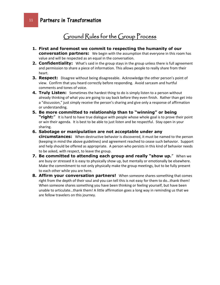# Ground Rules for the Group Process

- **1. First and foremost we commit to respecting the humanity of our conversation partners:** We begin with the assumption that everyone in this room has value and will be respected as an equal in the conversation.
- **2. Confidentiality:** What's said in the group stays in the group unless there is full agreement and permission to share a piece of information. This allows people to really share from their heart.
- **3. Respect:** Disagree without being disagreeable. Acknowledge the other person's point of view. Confirm that you heard correctly before responding. Avoid sarcasm and hurtful comments and tones of voice.
- **4. Truly Listen:** Sometimes the hardest thing to do is simply listen to a person without already thinking of what you are going to say back before they even finish. Rather than get into a "discussion," just simply receive the person's sharing and give only a response of affirmation or understanding.
- **5. Be more committed to relationship than to "winning" or being "right:**" It is hard to have true dialogue with people whose whole goal is to prove their point or win their agenda. It is best to be able to just listen and be respectful. Stay open in your sharing.
- **6. Sabotage or manipulation are not acceptable under any circumstances:** When destructive behavior is discovered, it must be named to the person (keeping in mind the above guidelines) and agreement reached to cease such behavior. Support and help should be offered as appropriate. A person who persists in this kind of behavior needs to be asked, with respect, to leave the group.
- **7. Be committed to attending each group and really "show up.**" When we are busy or stressed it is easy to physically show up, but mentally or emotionally be elsewhere. Make the commitment to not only physically make the group meetings, but to be fully present to each other while you are here.
- **8. Affirm your conversation partners!** When someone shares something that comes right from the depth of their soul and you can tell this is not easy for them to do…thank them! When someone shares something you have been thinking or feeling yourself, but have been unable to articulate…thank them! A little affirmation goes a long way in reminding us that we are fellow travelers on this journey.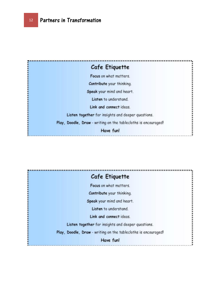

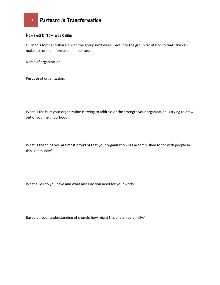# Homework from week one:

Fill in this form and share it with the group next week. Give it to the group facilitator so that s/he can make use of the information in the future.

Name of organization:

Purpose of organization:

What is the hurt your organization is trying to address or the strength your organization is trying to draw out of your neighborhood?

What is the thing you are most proud of that your organization has accomplished for or with people in this community?

What allies do you have and what allies do you need for your work?

Based on your understanding of church, how might this church be an ally?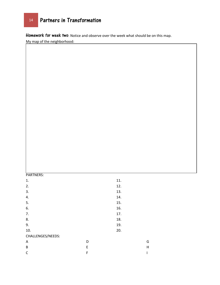<sup>14</sup> Partners in Transformation

Homework for week two: Notice and observe over the week what should be on this map.

My map of the neighborhood:

#### PARTNERS:

| 1.                |   | 11. |
|-------------------|---|-----|
| 2.                |   | 12. |
| 3.                |   | 13. |
| 4.                |   | 14. |
| 5.                |   | 15. |
| 6.                |   | 16. |
| 7.                |   | 17. |
| 8.                |   | 18. |
| 9.                |   | 19. |
| 10.               |   | 20. |
| CHALLENGES/NEEDS: |   |     |
| A                 | D |     |
| B                 | E |     |
| $\mathsf C$       | F |     |

G H I